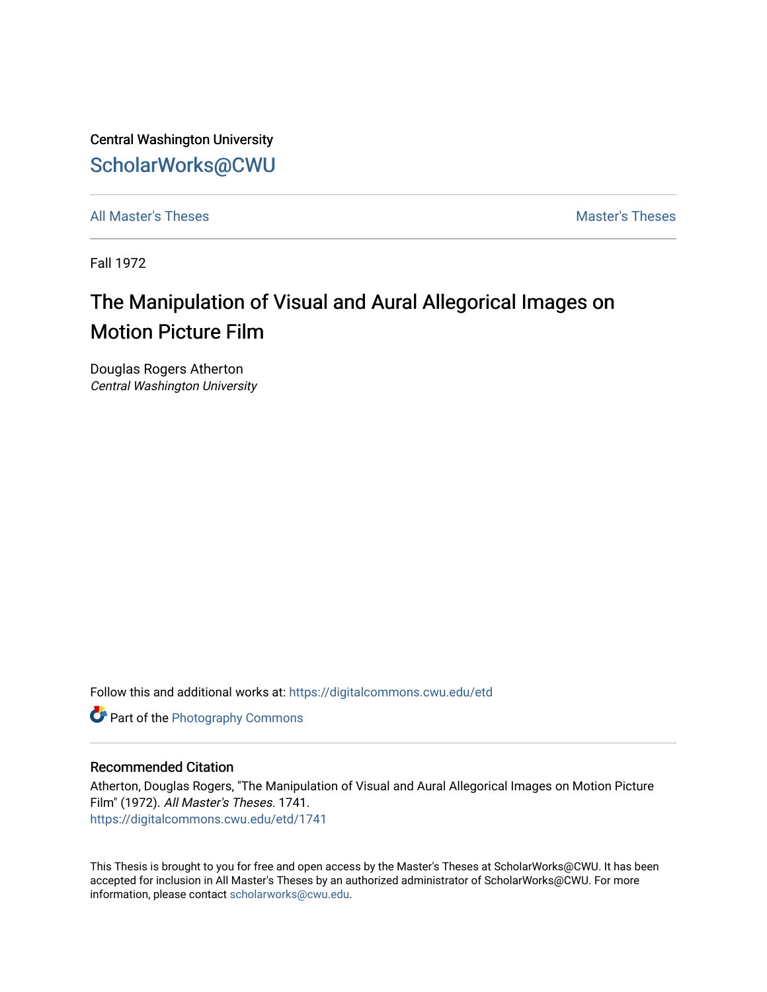Central Washington University [ScholarWorks@CWU](https://digitalcommons.cwu.edu/) 

[All Master's Theses](https://digitalcommons.cwu.edu/etd) **Master's Theses** Master's Theses

Fall 1972

# The Manipulation of Visual and Aural Allegorical Images on Motion Picture Film

Douglas Rogers Atherton Central Washington University

Follow this and additional works at: [https://digitalcommons.cwu.edu/etd](https://digitalcommons.cwu.edu/etd?utm_source=digitalcommons.cwu.edu%2Fetd%2F1741&utm_medium=PDF&utm_campaign=PDFCoverPages) 

**Part of the [Photography Commons](http://network.bepress.com/hgg/discipline/1142?utm_source=digitalcommons.cwu.edu%2Fetd%2F1741&utm_medium=PDF&utm_campaign=PDFCoverPages)** 

#### Recommended Citation

Atherton, Douglas Rogers, "The Manipulation of Visual and Aural Allegorical Images on Motion Picture Film" (1972). All Master's Theses. 1741. [https://digitalcommons.cwu.edu/etd/1741](https://digitalcommons.cwu.edu/etd/1741?utm_source=digitalcommons.cwu.edu%2Fetd%2F1741&utm_medium=PDF&utm_campaign=PDFCoverPages)

This Thesis is brought to you for free and open access by the Master's Theses at ScholarWorks@CWU. It has been accepted for inclusion in All Master's Theses by an authorized administrator of ScholarWorks@CWU. For more information, please contact [scholarworks@cwu.edu.](mailto:scholarworks@cwu.edu)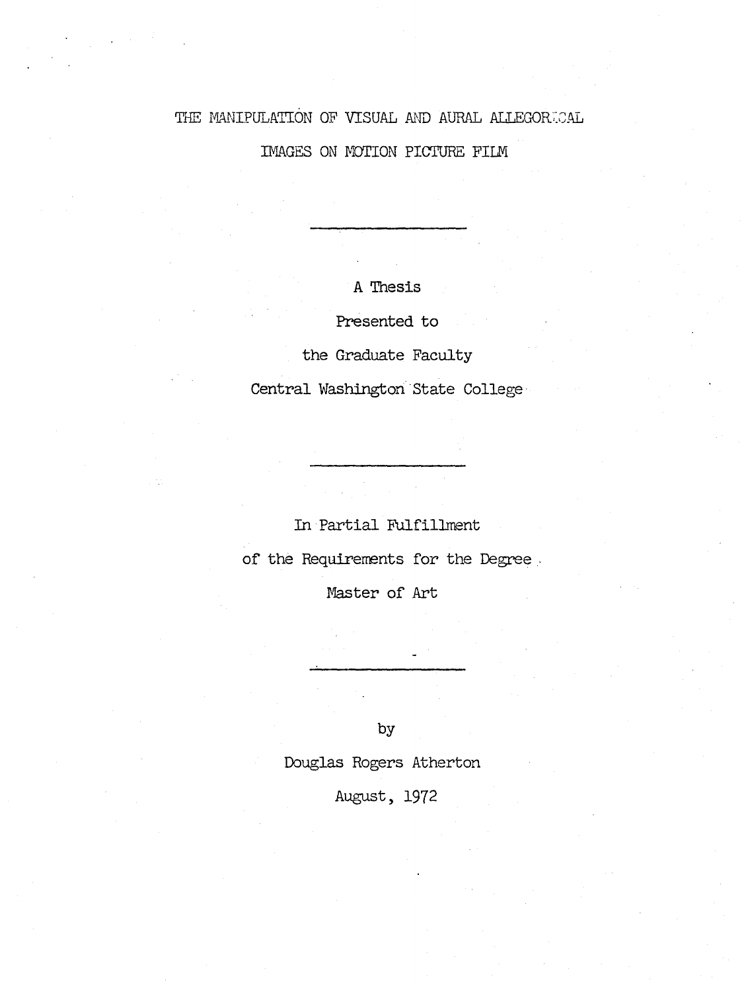# THE MANIPULATION OF VISUAL AND AURAL ALLEGORICAL

IMAGES ON MOTION PICTURE FILM

A Thesis

Presented to

the Graduate Faculty

Central Washington State College

### In Partial Fulfillment

of the Requirements for the Degree

Master of Art

by

Douglas Rogers Atherton

August, 1972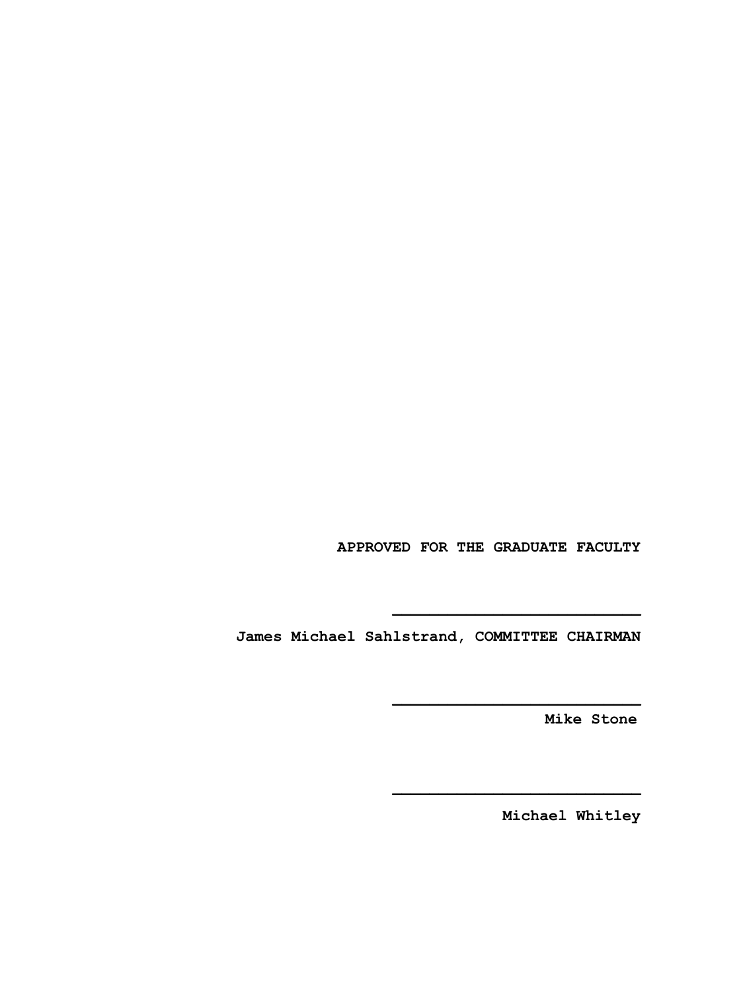**APPROVED FOR THE GRADUATE FACULTY**

**James Michael Sahlstrand, COMMITTEE CHAIRMAN**

**Mike Stone**

**Michael Whitley**

**\_\_\_\_\_\_\_\_\_\_\_\_\_\_\_\_\_\_\_\_\_\_\_\_\_\_\_**

**\_\_\_\_\_\_\_\_\_\_\_\_\_\_\_\_\_\_\_\_\_\_\_\_\_\_\_**

**\_\_\_\_\_\_\_\_\_\_\_\_\_\_\_\_\_\_\_\_\_\_\_\_\_\_\_**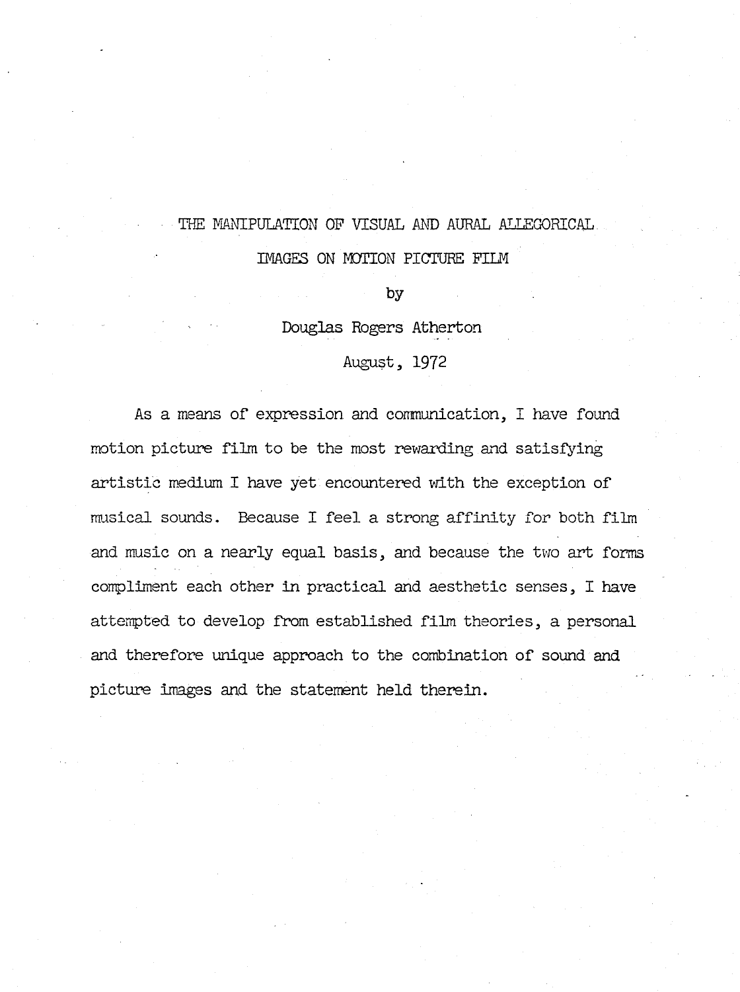## THE MANIPULATION OF VISUAL AND AURAL ALLEGORICAL.

IMAGES ON MOTION PICTURE FILM

**by** 

Douglas Rogers Atherton

August, 1972

As a means of expression and communication, I have found motion picture film to be the most rewarding and satisfying artistic medium I have yet encountered with the exception of musical sounds. Because I feel a strong affinity for both film and music on a nearly equal basis, and because the two art forms compliment each other in practical and aesthetic senses, I have attempted to develop from established film theories, a personal and therefore unique approach to the combination of sound and picture images and the statement held therein.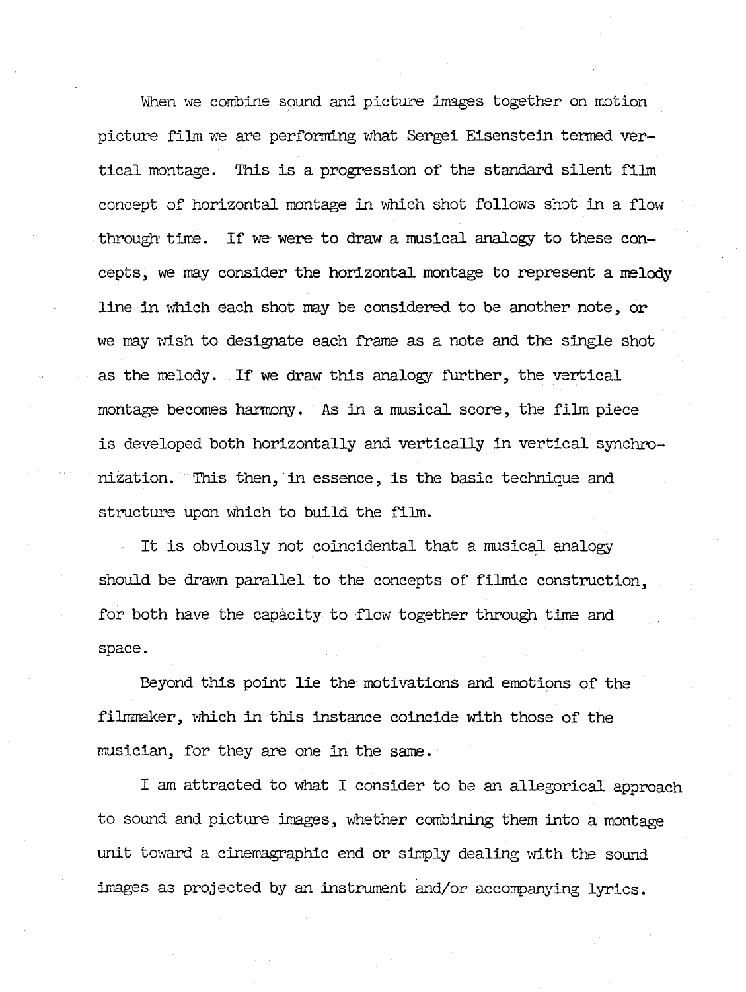When we combine sound and picture images together on motion picture fi1m we are performing what Sergei Eisenstein termed vertical montage. This is a progression of the standard silent fi1m concept of horizontal montage in which shot follows shot in a flow through' time. If we were to draw a musical analogy to these concepts, we may consider the horizontal montage to represent a melody line·in which each shot may be considered to be another note, or we may wish to designate each frame as a note and the single shot as the melody. If we draw this analogy further, the vertical montage becomes harmony. As in a musical score, the fi1m piece is developed both horizontally and vertically in vertical synchronization. This then, in essence, is the basic technique and structure upon which to build the fi1m.

It is obviously not coincidental that a musical analogy should be drawn parallel to the concepts of filmic construction, for both have the capacity to flow together through time and space.

Beyond this point lie the motivations and emotions of the filmmaker, which in this instance coincide with those of the musician, for they are one in the same.

I am attracted to what I consider to be an allegorical approach to sound and picture images, whether combining them into a montage unit toward a cinemagraphic end or simply dealing with the sound images as projected by an instrument and/or accompanying lyrics.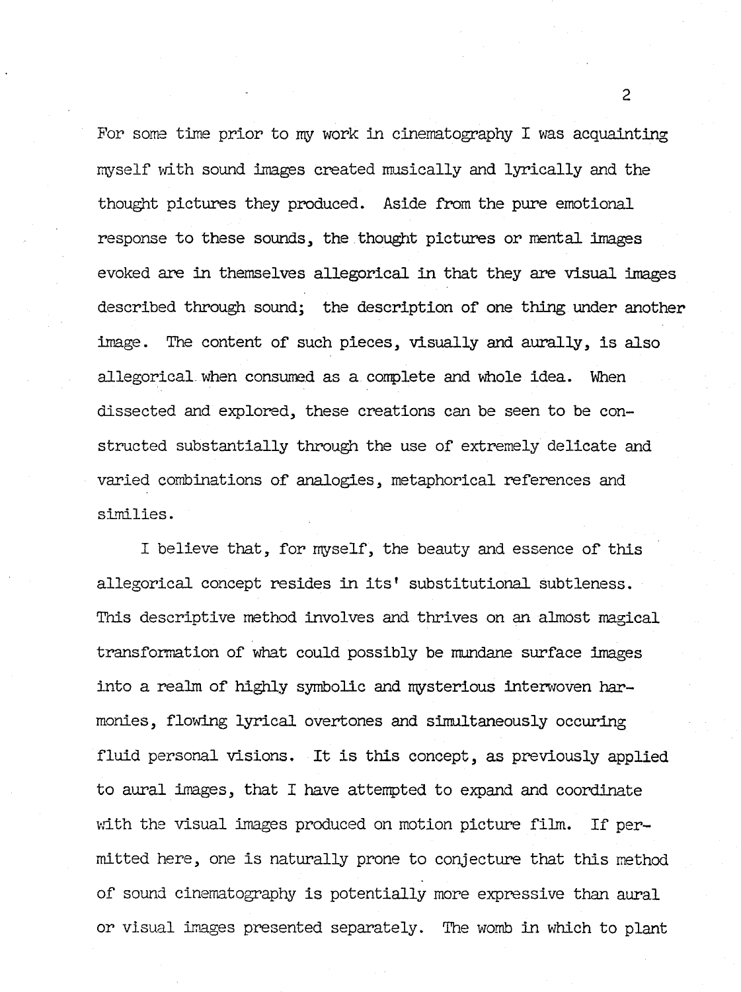For some time prior to my work in cinematography I was acquainting myself with sound images created musically and lyrically and the thought pictures they produced. Aside from the pure emotional response to these sounds., the thought pictures or mental images evoked are in themselves allegorical in that they are visual images described through sound; the description of one thing under another image. The content of such pieces, visually and aurally, is also allegorical when consumed as a complete and whole idea. When dissected and explored, these creations can be seen to be constructed substantially through the use of extremely delicate and varied combinations of analogies, metaphorical references and similies.

I believe that, for myself, the beauty and essence of this allegorical concept resides in its' substitutional subtleness. Tnis descriptive method involves and thrives on an almost magical transformation of what could possibly be mundane surface images into a realm of highly symbolic and mysterious interwoven harmonies, flowing lyrical overtones and simultaneously occuring fluid personal visions. It is this concept, as previously applied to aural images, that I have attempted to expand and coordinate with the visual images produced on motion picture film. If permitted here, one is naturally prone to conjecture that this method of sound cinematography is potentially more expressive than aural or visual images presented separately. The womb in which to plant

2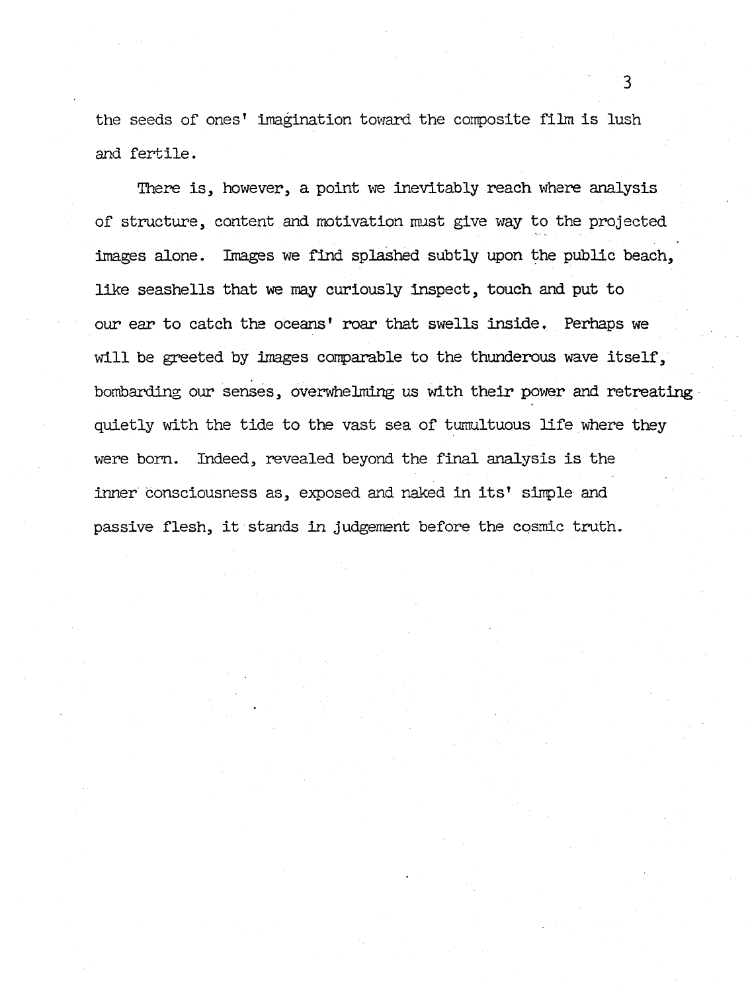the seeds of ones' imagination toward the composite film is lush and fertile.

There is, however, a point we inevitably reach where analysis of structure, content and motivation must give way to the projected images alone. Images we find splashed subtly upon the public beach, like seashells that we may curiously inspect, touch and put to our ear to catch the oceans' roar that swells inside. Perhaps we will be greeted by images comparable to the thunderous wave itself, bombarding our senses, overwhelming us with their power and retreating quietly with the tide to the vast sea of tumultuous life where they were born. Indeed, revealed beyond the final analysis is the inner consciousness as, exposed and naked in its' simple and passive flesh, it stands in judgement before the cosmic truth.

3